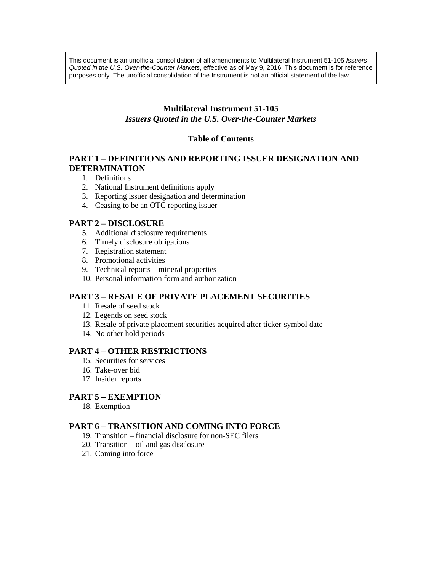This document is an unofficial consolidation of all amendments to Multilateral Instrument 51-105 *Issuers Quoted in the U.S. Over-the-Counter Markets*, effective as of May 9, 2016. This document is for reference purposes only. The unofficial consolidation of the Instrument is not an official statement of the law.

# **Multilateral Instrument 51-105**

# *Issuers Quoted in the U.S. Over-the-Counter Markets*

# **Table of Contents**

# **PART 1 – DEFINITIONS AND REPORTING ISSUER DESIGNATION AND DETERMINATION**

- 1. Definitions
- 2. National Instrument definitions apply
- 3. Reporting issuer designation and determination
- 4. Ceasing to be an OTC reporting issuer

# **PART 2 – DISCLOSURE**

- 5. Additional disclosure requirements
- 6. Timely disclosure obligations
- 7. Registration statement
- 8. Promotional activities
- 9. Technical reports mineral properties
- 10. Personal information form and authorization

# **PART 3 – RESALE OF PRIVATE PLACEMENT SECURITIES**

- 11. Resale of seed stock
- 12. Legends on seed stock
- 13. Resale of private placement securities acquired after ticker-symbol date
- 14. No other hold periods

# **PART 4 – OTHER RESTRICTIONS**

- 15. Securities for services
- 16. Take-over bid
- 17. Insider reports

# **PART 5 – EXEMPTION**

18. Exemption

# **PART 6 – TRANSITION AND COMING INTO FORCE**

- 19. Transition financial disclosure for non-SEC filers
- 20. Transition oil and gas disclosure
- 21. Coming into force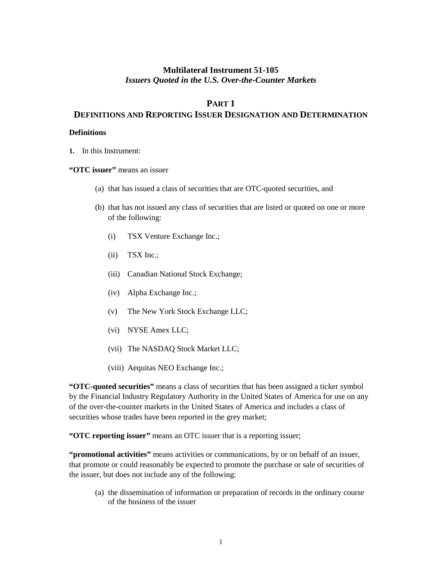# **Multilateral Instrument 51-105** *Issuers Quoted in the U.S. Over-the-Counter Markets*

# **PART 1**

# **DEFINITIONS AND REPORTING ISSUER DESIGNATION AND DETERMINATION**

# **Definitions**

**1.** In this Instrument:

**"OTC issuer"** means an issuer

- (a) that has issued a class of securities that are OTC-quoted securities, and
- (b) that has not issued any class of securities that are listed or quoted on one or more of the following:
	- (i) TSX Venture Exchange Inc.;
	- (ii) TSX Inc.;
	- (iii) Canadian National Stock Exchange;
	- (iv) Alpha Exchange Inc.;
	- (v) The New York Stock Exchange LLC;
	- (vi) NYSE Amex LLC;
	- (vii) The NASDAQ Stock Market LLC;
	- (viii) Aequitas NEO Exchange Inc.;

**"OTC-quoted securities"** means a class of securities that has been assigned a ticker symbol by the Financial Industry Regulatory Authority in the United States of America for use on any of the over-the-counter markets in the United States of America and includes a class of securities whose trades have been reported in the grey market;

**"OTC reporting issuer"** means an OTC issuer that is a reporting issuer;

**"promotional activities"** means activities or communications, by or on behalf of an issuer, that promote or could reasonably be expected to promote the purchase or sale of securities of the issuer, but does not include any of the following:

(a) the dissemination of information or preparation of records in the ordinary course of the business of the issuer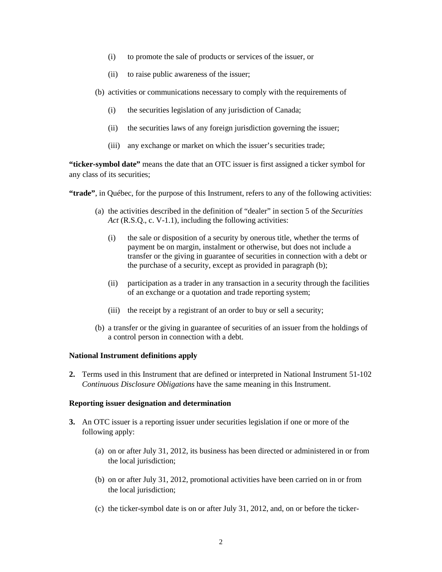- (i) to promote the sale of products or services of the issuer, or
- (ii) to raise public awareness of the issuer;
- (b) activities or communications necessary to comply with the requirements of
	- (i) the securities legislation of any jurisdiction of Canada;
	- (ii) the securities laws of any foreign jurisdiction governing the issuer;
	- (iii) any exchange or market on which the issuer's securities trade;

**"ticker-symbol date"** means the date that an OTC issuer is first assigned a ticker symbol for any class of its securities;

**"trade"**, in Québec, for the purpose of this Instrument, refers to any of the following activities:

- (a) the activities described in the definition of "dealer" in section 5 of the *Securities Act* (R.S.O., c. V-1.1), including the following activities:
	- (i) the sale or disposition of a security by onerous title, whether the terms of payment be on margin, instalment or otherwise, but does not include a transfer or the giving in guarantee of securities in connection with a debt or the purchase of a security, except as provided in paragraph (b);
	- (ii) participation as a trader in any transaction in a security through the facilities of an exchange or a quotation and trade reporting system;
	- (iii) the receipt by a registrant of an order to buy or sell a security;
- (b) a transfer or the giving in guarantee of securities of an issuer from the holdings of a control person in connection with a debt.

# **National Instrument definitions apply**

**2.** Terms used in this Instrument that are defined or interpreted in National Instrument 51-102 *Continuous Disclosure Obligations* have the same meaning in this Instrument.

### **Reporting issuer designation and determination**

- **3.** An OTC issuer is a reporting issuer under securities legislation if one or more of the following apply:
	- (a) on or after July 31, 2012, its business has been directed or administered in or from the local jurisdiction;
	- (b) on or after July 31, 2012, promotional activities have been carried on in or from the local jurisdiction;
	- (c) the ticker-symbol date is on or after July 31, 2012, and, on or before the ticker-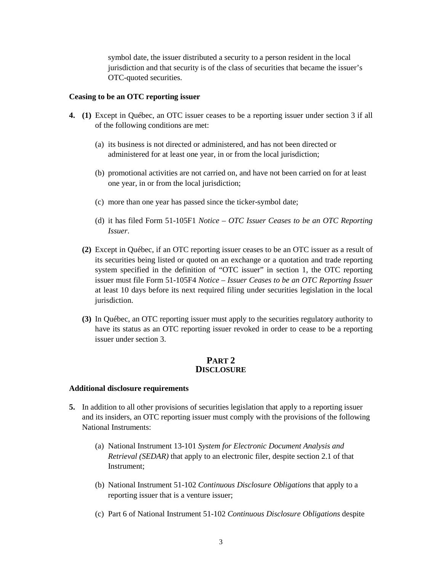symbol date, the issuer distributed a security to a person resident in the local jurisdiction and that security is of the class of securities that became the issuer's OTC-quoted securities.

#### **Ceasing to be an OTC reporting issuer**

- **4. (1)** Except in Québec, an OTC issuer ceases to be a reporting issuer under section 3 if all of the following conditions are met:
	- (a) its business is not directed or administered, and has not been directed or administered for at least one year, in or from the local jurisdiction;
	- (b) promotional activities are not carried on, and have not been carried on for at least one year, in or from the local jurisdiction;
	- (c) more than one year has passed since the ticker-symbol date;
	- (d) it has filed Form 51-105F1 *Notice – OTC Issuer Ceases to be an OTC Reporting Issuer*.
	- **(2)** Except in Québec, if an OTC reporting issuer ceases to be an OTC issuer as a result of its securities being listed or quoted on an exchange or a quotation and trade reporting system specified in the definition of "OTC issuer" in section 1, the OTC reporting issuer must file Form 51-105F4 *Notice – Issuer Ceases to be an OTC Reporting Issuer*  at least 10 days before its next required filing under securities legislation in the local jurisdiction.
	- **(3)** In Québec, an OTC reporting issuer must apply to the securities regulatory authority to have its status as an OTC reporting issuer revoked in order to cease to be a reporting issuer under section 3.

### **PART 2 DISCLOSURE**

### **Additional disclosure requirements**

- **5.** In addition to all other provisions of securities legislation that apply to a reporting issuer and its insiders, an OTC reporting issuer must comply with the provisions of the following National Instruments:
	- (a) National Instrument 13-101 *System for Electronic Document Analysis and Retrieval (SEDAR)* that apply to an electronic filer, despite section 2.1 of that Instrument;
	- (b) National Instrument 51-102 *Continuous Disclosure Obligations* that apply to a reporting issuer that is a venture issuer;
	- (c) Part 6 of National Instrument 51-102 *Continuous Disclosure Obligations* despite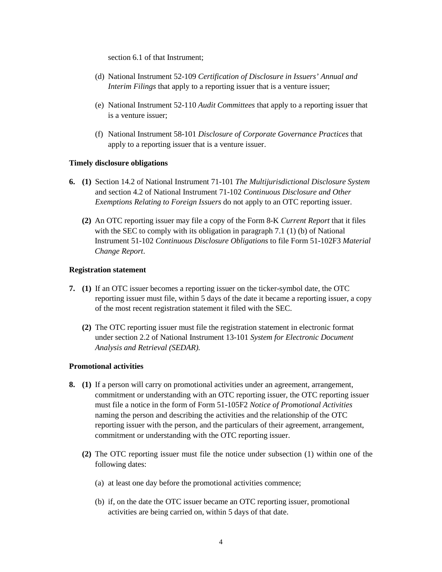section 6.1 of that Instrument;

- (d) National Instrument 52-109 *Certification of Disclosure in Issuers' Annual and Interim Filings* that apply to a reporting issuer that is a venture issuer;
- (e) National Instrument 52-110 *Audit Committees* that apply to a reporting issuer that is a venture issuer;
- (f) National Instrument 58-101 *Disclosure of Corporate Governance Practices* that apply to a reporting issuer that is a venture issuer.

### **Timely disclosure obligations**

- **6. (1)** Section 14.2 of National Instrument 71-101 *The Multijurisdictional Disclosure System*  and section 4.2 of National Instrument 71-102 *Continuous Disclosure and Other Exemptions Relating to Foreign Issuers* do not apply to an OTC reporting issuer.
	- **(2)** An OTC reporting issuer may file a copy of the Form 8-K *Current Report* that it files with the SEC to comply with its obligation in paragraph 7.1 (1) (b) of National Instrument 51-102 *Continuous Disclosure Obligations* to file Form 51-102F3 *Material Change Report*.

### **Registration statement**

- **7. (1)** If an OTC issuer becomes a reporting issuer on the ticker-symbol date, the OTC reporting issuer must file, within 5 days of the date it became a reporting issuer, a copy of the most recent registration statement it filed with the SEC.
	- **(2)** The OTC reporting issuer must file the registration statement in electronic format under section 2.2 of National Instrument 13-101 *System for Electronic Document Analysis and Retrieval (SEDAR).*

#### **Promotional activities**

- **8. (1)** If a person will carry on promotional activities under an agreement, arrangement, commitment or understanding with an OTC reporting issuer, the OTC reporting issuer must file a notice in the form of Form 51-105F2 *Notice of Promotional Activities*  naming the person and describing the activities and the relationship of the OTC reporting issuer with the person, and the particulars of their agreement, arrangement, commitment or understanding with the OTC reporting issuer.
	- **(2)** The OTC reporting issuer must file the notice under subsection (1) within one of the following dates:
		- (a) at least one day before the promotional activities commence;
		- (b) if, on the date the OTC issuer became an OTC reporting issuer, promotional activities are being carried on, within 5 days of that date.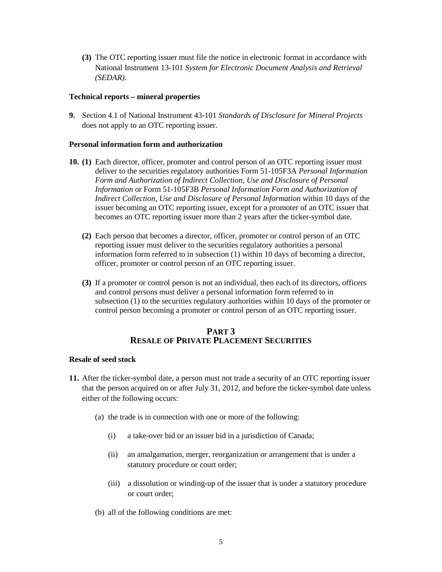**(3)** The OTC reporting issuer must file the notice in electronic format in accordance with National Instrument 13-101 *System for Electronic Document Analysis and Retrieval (SEDAR).*

## **Technical reports – mineral properties**

**9.** Section 4.1 of National Instrument 43-101 *Standards of Disclosure for Mineral Projects*  does not apply to an OTC reporting issuer.

# **Personal information form and authorization**

- **10. (1)** Each director, officer, promoter and control person of an OTC reporting issuer must deliver to the securities regulatory authorities Form 51-105F3A *Personal Information Form and Authorization of Indirect Collection, Use and Disclosure of Personal Information* or Form 51-105F3B *Personal Information Form and Authorization of Indirect Collection, Use and Disclosure of Personal Information* within 10 days of the issuer becoming an OTC reporting issuer, except for a promoter of an OTC issuer that becomes an OTC reporting issuer more than 2 years after the ticker-symbol date.
	- **(2)** Each person that becomes a director, officer, promoter or control person of an OTC reporting issuer must deliver to the securities regulatory authorities a personal information form referred to in subsection (1) within 10 days of becoming a director, officer, promoter or control person of an OTC reporting issuer.
	- **(3)** If a promoter or control person is not an individual, then each of its directors, officers and control persons must deliver a personal information form referred to in subsection (1) to the securities regulatory authorities within 10 days of the promoter or control person becoming a promoter or control person of an OTC reporting issuer.

# **PART 3 RESALE OF PRIVATE PLACEMENT SECURITIES**

### **Resale of seed stock**

- **11.** After the ticker-symbol date, a person must not trade a security of an OTC reporting issuer that the person acquired on or after July 31, 2012, and before the ticker-symbol date unless either of the following occurs:
	- (a) the trade is in connection with one or more of the following:
		- (i) a take-over bid or an issuer bid in a jurisdiction of Canada;
		- (ii) an amalgamation, merger, reorganization or arrangement that is under a statutory procedure or court order;
		- (iii) a dissolution or winding-up of the issuer that is under a statutory procedure or court order;
	- (b) all of the following conditions are met: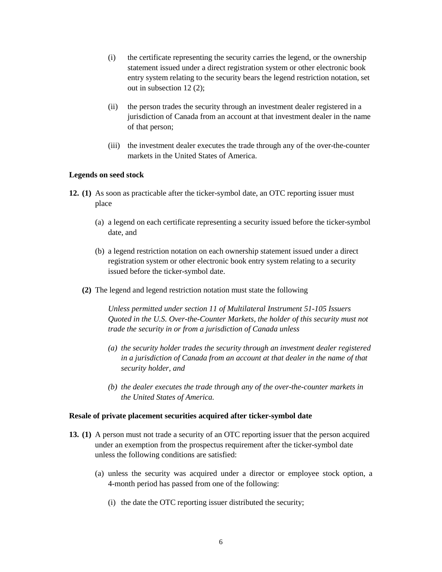- (i) the certificate representing the security carries the legend, or the ownership statement issued under a direct registration system or other electronic book entry system relating to the security bears the legend restriction notation, set out in subsection 12 (2);
- (ii) the person trades the security through an investment dealer registered in a jurisdiction of Canada from an account at that investment dealer in the name of that person;
- (iii) the investment dealer executes the trade through any of the over-the-counter markets in the United States of America.

### **Legends on seed stock**

- **12. (1)** As soon as practicable after the ticker-symbol date, an OTC reporting issuer must place
	- (a) a legend on each certificate representing a security issued before the ticker-symbol date, and
	- (b) a legend restriction notation on each ownership statement issued under a direct registration system or other electronic book entry system relating to a security issued before the ticker-symbol date.
	- **(2)** The legend and legend restriction notation must state the following

*Unless permitted under section 11 of Multilateral Instrument 51-105 Issuers Quoted in the U.S. Over-the-Counter Markets, the holder of this security must not trade the security in or from a jurisdiction of Canada unless* 

- *(a) the security holder trades the security through an investment dealer registered in a jurisdiction of Canada from an account at that dealer in the name of that security holder, and*
- *(b) the dealer executes the trade through any of the over-the-counter markets in the United States of America.*

### **Resale of private placement securities acquired after ticker-symbol date**

- **13. (1)** A person must not trade a security of an OTC reporting issuer that the person acquired under an exemption from the prospectus requirement after the ticker-symbol date unless the following conditions are satisfied:
	- (a) unless the security was acquired under a director or employee stock option, a 4-month period has passed from one of the following:
		- (i) the date the OTC reporting issuer distributed the security;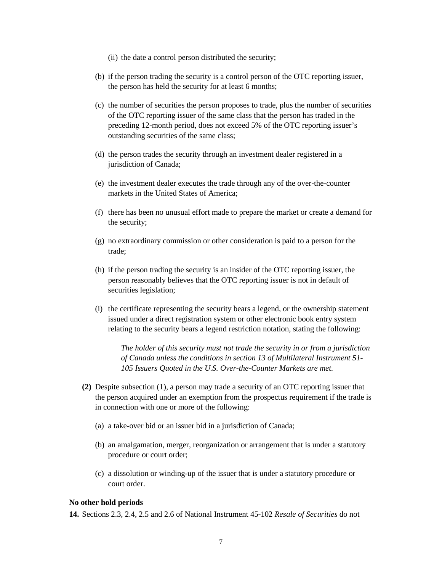- (ii) the date a control person distributed the security;
- (b) if the person trading the security is a control person of the OTC reporting issuer, the person has held the security for at least 6 months;
- (c) the number of securities the person proposes to trade, plus the number of securities of the OTC reporting issuer of the same class that the person has traded in the preceding 12-month period, does not exceed 5% of the OTC reporting issuer's outstanding securities of the same class;
- (d) the person trades the security through an investment dealer registered in a jurisdiction of Canada;
- (e) the investment dealer executes the trade through any of the over-the-counter markets in the United States of America;
- (f) there has been no unusual effort made to prepare the market or create a demand for the security;
- (g) no extraordinary commission or other consideration is paid to a person for the trade;
- (h) if the person trading the security is an insider of the OTC reporting issuer, the person reasonably believes that the OTC reporting issuer is not in default of securities legislation;
- (i) the certificate representing the security bears a legend, or the ownership statement issued under a direct registration system or other electronic book entry system relating to the security bears a legend restriction notation, stating the following:

*The holder of this security must not trade the security in or from a jurisdiction of Canada unless the conditions in section 13 of Multilateral Instrument 51- 105 Issuers Quoted in the U.S. Over-the-Counter Markets are met.*

- **(2)** Despite subsection (1), a person may trade a security of an OTC reporting issuer that the person acquired under an exemption from the prospectus requirement if the trade is in connection with one or more of the following:
	- (a) a take-over bid or an issuer bid in a jurisdiction of Canada;
	- (b) an amalgamation, merger, reorganization or arrangement that is under a statutory procedure or court order;
	- (c) a dissolution or winding-up of the issuer that is under a statutory procedure or court order.

#### **No other hold periods**

**14.** Sections 2.3, 2.4, 2.5 and 2.6 of National Instrument 45-102 *Resale of Securities* do not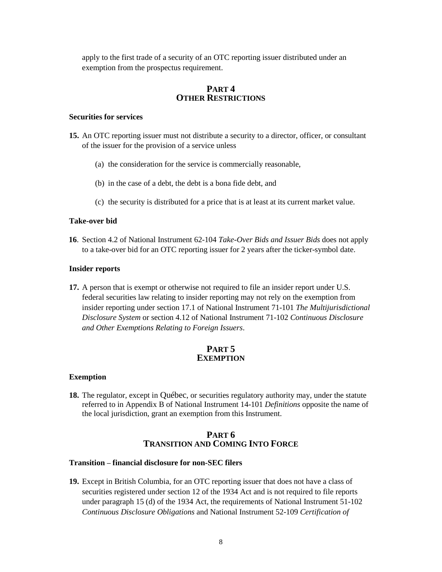apply to the first trade of a security of an OTC reporting issuer distributed under an exemption from the prospectus requirement.

# **PART 4 OTHER RESTRICTIONS**

# **Securities for services**

- **15.** An OTC reporting issuer must not distribute a security to a director, officer, or consultant of the issuer for the provision of a service unless
	- (a) the consideration for the service is commercially reasonable,
	- (b) in the case of a debt, the debt is a bona fide debt, and
	- (c) the security is distributed for a price that is at least at its current market value.

#### **Take-over bid**

**16**. Section 4.2 of National Instrument 62-104 *Take-Over Bids and Issuer Bids* does not apply to a take-over bid for an OTC reporting issuer for 2 years after the ticker-symbol date.

#### **Insider reports**

**17.** A person that is exempt or otherwise not required to file an insider report under U.S. federal securities law relating to insider reporting may not rely on the exemption from insider reporting under section 17.1 of National Instrument 71-101 *The Multijurisdictional Disclosure System* or section 4.12 of National Instrument 71-102 *Continuous Disclosure and Other Exemptions Relating to Foreign Issuers*.

# **PART 5 EXEMPTION**

#### **Exemption**

**18.** The regulator, except in Québec, or securities regulatory authority may, under the statute referred to in Appendix B of National Instrument 14-101 *Definitions* opposite the name of the local jurisdiction, grant an exemption from this Instrument.

## **PART 6 TRANSITION AND COMING INTO FORCE**

### **Transition** – **financial disclosure for non-SEC filers**

**19.** Except in British Columbia, for an OTC reporting issuer that does not have a class of securities registered under section 12 of the 1934 Act and is not required to file reports under paragraph 15 (d) of the 1934 Act, the requirements of National Instrument 51-102 *Continuous Disclosure Obligations* and National Instrument 52-109 *Certification of*